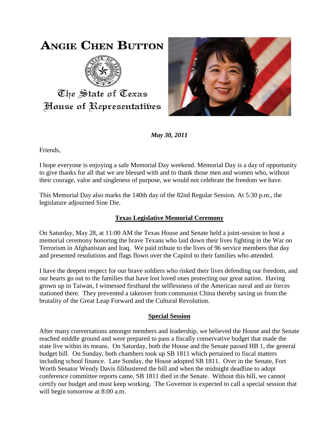# **ANGIE CHEN BUTTON**



The State of Texas House of Representatibes



*May 30, 2011*

Friends,

I hope everyone is enjoying a safe Memorial Day weekend. Memorial Day is a day of opportunity to give thanks for all that we are blessed with and to thank those men and women who, without their courage, valor and singleness of purpose, we would not celebrate the freedom we have.

This Memorial Day also marks the 140th day of the 82nd Regular Session. At 5:30 p.m., the legislature adjourned Sine Die.

## **Texas Legislative Memorial Ceremony**

On Saturday, May 28, at 11:00 AM the Texas House and Senate held a joint-session to host a memorial ceremony honoring the brave Texans who laid down their lives fighting in the War on Terrorism in Afghanistan and Iraq. We paid tribute to the lives of 96 service members that day and presented resolutions and flags flown over the Capitol to their families who attended.

I have the deepest respect for our brave soldiers who risked their lives defending our freedom, and our hearts go out to the families that have lost loved ones protecting our great nation. Having grown up in Taiwan, I witnessed firsthand the selflessness of the American naval and air forces stationed there. They prevented a takeover from communist China thereby saving us from the brutality of the Great Leap Forward and the Cultural Revolution.

## **Special Session**

After many conversations amongst members and leadership, we believed the House and the Senate reached middle ground and were prepared to pass a fiscally conservative budget that made the state live within its means. On Saturday, both the House and the Senate passed HB 1, the general budget bill. On Sunday, both chambers took up SB 1811 which pertained to fiscal matters including school finance. Late Sunday, the House adopted SB 1811. Over in the Senate, Fort Worth Senator Wendy Davis filibustered the bill and when the midnight deadline to adopt conference committee reports came, SB 1811 died in the Senate. Without this bill, we cannot certify our budget and must keep working. The Governor is expected to call a special session that will begin tomorrow at 8:00 a.m.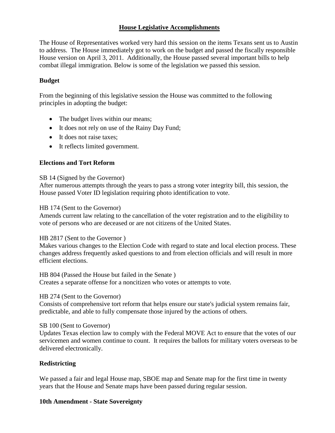## **House Legislative Accomplishments**

The House of Representatives worked very hard this session on the items Texans sent us to Austin to address. The House immediately got to work on the budget and passed the fiscally responsible House version on April 3, 2011. Additionally, the House passed several important bills to help combat illegal immigration. Below is some of the legislation we passed this session.

## **Budget**

From the beginning of this legislative session the House was committed to the following principles in adopting the budget:

- The budget lives within our means;
- It does not rely on use of the Rainy Day Fund;
- It does not raise taxes;
- It reflects limited government.

## **Elections and Tort Reform**

#### SB 14 (Signed by the Governor)

After numerous attempts through the years to pass a strong voter integrity bill, this session, the House passed Voter ID legislation requiring photo identification to vote.

#### HB 174 (Sent to the Governor)

Amends current law relating to the cancellation of the voter registration and to the eligibility to vote of persons who are deceased or are not citizens of the United States.

#### HB 2817 (Sent to the Governor )

Makes various changes to the Election Code with regard to state and local election process. These changes address frequently asked questions to and from election officials and will result in more efficient elections.

HB 804 (Passed the House but failed in the Senate ) Creates a separate offense for a noncitizen who votes or attempts to vote.

## HB 274 (Sent to the Governor)

Consists of comprehensive tort reform that helps ensure our state's judicial system remains fair, predictable, and able to fully compensate those injured by the actions of others.

SB 100 (Sent to Governor)

Updates Texas election law to comply with the Federal MOVE Act to ensure that the votes of our servicemen and women continue to count. It requires the ballots for military voters overseas to be delivered electronically.

## **Redistricting**

We passed a fair and legal House map, SBOE map and Senate map for the first time in twenty years that the House and Senate maps have been passed during regular session.

## **10th Amendment - State Sovereignty**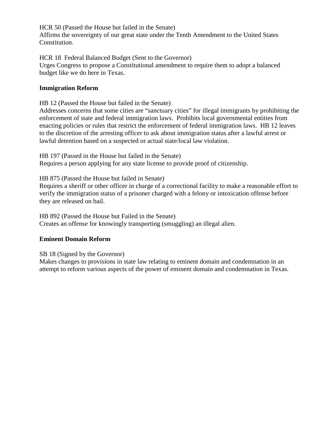HCR 50 (Passed the House but failed in the Senate) Affirms the sovereignty of our great state under the Tenth Amendment to the United States Constitution.

HCR 18 Federal Balanced Budget (Sent to the Governor) Urges Congress to propose a Constitutional amendment to require them to adopt a balanced budget like we do here in Texas.

### **Immigration Reform**

HB 12 (Passed the House but failed in the Senate)

Addresses concerns that some cities are "sanctuary cities" for illegal immigrants by prohibiting the enforcement of state and federal immigration laws. Prohibits local governmental entities from enacting policies or rules that restrict the enforcement of federal immigration laws. HB 12 leaves to the discretion of the arresting officer to ask about immigration status after a lawful arrest or lawful detention based on a suspected or actual state/local law violation.

HB 197 (Passed in the House but failed in the Senate)

Requires a person applying for any state license to provide proof of citizenship.

HB 875 (Passed the House but failed in Senate)

Requires a sheriff or other officer in charge of a correctional facility to make a reasonable effort to verify the immigration status of a prisoner charged with a felony or intoxication offense before they are released on bail.

HB 892 (Passed the House but Failed in the Senate)

Creates an offense for knowingly transporting (smuggling) an illegal alien.

#### **Eminent Domain Reform**

SB 18 (Signed by the Governor)

Makes changes to provisions in state law relating to eminent domain and condemnation in an attempt to reform various aspects of the power of eminent domain and condemnation in Texas.